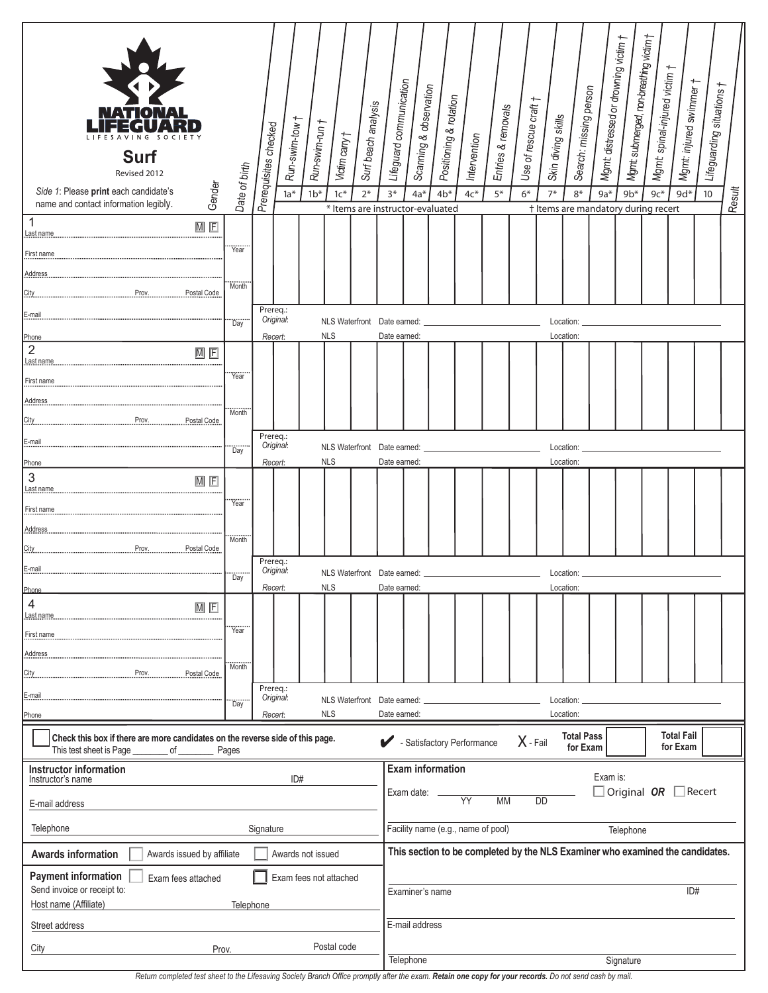| TIONA<br><b>Surf</b><br>Revised 2012<br>Gender<br>Side 1: Please print each candidate's<br>name and contact information legibly.                           | Date of birth      | Run-swim-tow †<br>Prerequisites checked<br>$1a^*$ | Run-swim-run †<br>Victim carry t<br>$1b*$<br>$1c*$ | Surf beach analysis<br>$2*$ | Lifeguard communication<br>$3*$                 | Scanning & observation<br>Positioning & rotation<br>$4b*$<br>$4a^*$           | Intervention<br>$4c*$ | Entries & removals<br>$5*$ | Use of rescue craft<br>$6*$ | Skin diving skills<br>$7*$ | Search: missing person<br>$8*$ | Mgmt: distressed or drowning victim †<br>$9a*$ | Mgmt submerged, non-breathing victim †<br>$9b*$ | Mgmt: spinal-injured victim †<br>$9c*$ | Mgmt: injured swimmer †<br>$9d*$ | Lifeguarding situations †<br>10 | Result |
|------------------------------------------------------------------------------------------------------------------------------------------------------------|--------------------|---------------------------------------------------|----------------------------------------------------|-----------------------------|-------------------------------------------------|-------------------------------------------------------------------------------|-----------------------|----------------------------|-----------------------------|----------------------------|--------------------------------|------------------------------------------------|-------------------------------------------------|----------------------------------------|----------------------------------|---------------------------------|--------|
| 1<br>$M$ $F$                                                                                                                                               |                    |                                                   |                                                    |                             |                                                 | * Items are instructor-evaluated                                              |                       |                            |                             |                            |                                |                                                | † Items are mandatory during recert             |                                        |                                  |                                 |        |
| Last name.<br>First name                                                                                                                                   | Year               |                                                   |                                                    |                             |                                                 |                                                                               |                       |                            |                             |                            |                                |                                                |                                                 |                                        |                                  |                                 |        |
| Address                                                                                                                                                    |                    |                                                   |                                                    |                             |                                                 |                                                                               |                       |                            |                             |                            |                                |                                                |                                                 |                                        |                                  |                                 |        |
| Prov.<br>Postal Code<br>City.                                                                                                                              | Month              |                                                   |                                                    |                             |                                                 |                                                                               |                       |                            |                             |                            |                                |                                                |                                                 |                                        |                                  |                                 |        |
| E-mail                                                                                                                                                     |                    | Prereq.:<br>Original:                             |                                                    |                             |                                                 |                                                                               |                       |                            |                             |                            |                                |                                                |                                                 |                                        |                                  |                                 |        |
| Phone                                                                                                                                                      | <br>Day            | Recert:                                           | NLS Waterfront Date earned:<br><b>NLS</b>          |                             | Date earned:                                    |                                                                               |                       |                            |                             |                            | Location:<br>Location:         |                                                |                                                 |                                        |                                  |                                 |        |
| $\overline{c}$<br>$M$ $F$<br>Last name                                                                                                                     |                    |                                                   |                                                    |                             |                                                 |                                                                               |                       |                            |                             |                            |                                |                                                |                                                 |                                        |                                  |                                 |        |
| First name                                                                                                                                                 | Year <sup>*</sup>  |                                                   |                                                    |                             |                                                 |                                                                               |                       |                            |                             |                            |                                |                                                |                                                 |                                        |                                  |                                 |        |
|                                                                                                                                                            |                    |                                                   |                                                    |                             |                                                 |                                                                               |                       |                            |                             |                            |                                |                                                |                                                 |                                        |                                  |                                 |        |
| Prov.<br>Postal Code<br>City.                                                                                                                              | Month <sup>"</sup> |                                                   |                                                    |                             |                                                 |                                                                               |                       |                            |                             |                            |                                |                                                |                                                 |                                        |                                  |                                 |        |
| E-mail                                                                                                                                                     |                    | Prereq.:<br>Original:                             | NLS Waterfront Date earned:                        |                             |                                                 |                                                                               |                       |                            |                             |                            | Location:                      |                                                |                                                 |                                        |                                  |                                 |        |
| Phone                                                                                                                                                      | Day                | Recert:                                           | <b>NLS</b>                                         |                             | Date earned:                                    |                                                                               |                       |                            |                             | Location:                  |                                |                                                |                                                 |                                        |                                  |                                 |        |
| 3<br>$M$ F<br>Last name                                                                                                                                    |                    |                                                   |                                                    |                             |                                                 |                                                                               |                       |                            |                             |                            |                                |                                                |                                                 |                                        |                                  |                                 |        |
| First name                                                                                                                                                 | <br>Year           |                                                   |                                                    |                             |                                                 |                                                                               |                       |                            |                             |                            |                                |                                                |                                                 |                                        |                                  |                                 |        |
| Address                                                                                                                                                    |                    |                                                   |                                                    |                             |                                                 |                                                                               |                       |                            |                             |                            |                                |                                                |                                                 |                                        |                                  |                                 |        |
| Prov.<br>Postal Code<br>City.                                                                                                                              | Month              |                                                   |                                                    |                             |                                                 |                                                                               |                       |                            |                             |                            |                                |                                                |                                                 |                                        |                                  |                                 |        |
| E-mail                                                                                                                                                     | <br>Day            | Prereq.:<br>Original:                             | NLS Waterfront Date earned:                        |                             |                                                 |                                                                               |                       |                            | Location:                   |                            |                                |                                                |                                                 |                                        |                                  |                                 |        |
| Phone                                                                                                                                                      |                    | Recert:                                           | <b>NLS</b>                                         |                             | Date earned:                                    |                                                                               |                       |                            |                             |                            | Location:                      |                                                |                                                 |                                        |                                  |                                 |        |
| 4<br>$\overline{M}$ $\overline{F}$<br>Last name.                                                                                                           |                    |                                                   |                                                    |                             |                                                 |                                                                               |                       |                            |                             |                            |                                |                                                |                                                 |                                        |                                  |                                 |        |
| First name                                                                                                                                                 | Year <sup>-</sup>  |                                                   |                                                    |                             |                                                 |                                                                               |                       |                            |                             |                            |                                |                                                |                                                 |                                        |                                  |                                 |        |
|                                                                                                                                                            | Month <sup>"</sup> |                                                   |                                                    |                             |                                                 |                                                                               |                       |                            |                             |                            |                                |                                                |                                                 |                                        |                                  |                                 |        |
| Prov.<br>Postal Code                                                                                                                                       |                    |                                                   |                                                    |                             |                                                 |                                                                               |                       |                            |                             |                            |                                |                                                |                                                 |                                        |                                  |                                 |        |
| E-mail                                                                                                                                                     | <br>Day            | Prereq.:<br>Original:                             | <b>NLS Waterfront</b>                              |                             | Date earned:                                    |                                                                               |                       | Location:                  |                             |                            |                                |                                                |                                                 |                                        |                                  |                                 |        |
| Phone                                                                                                                                                      |                    | Recert:                                           | <b>NLS</b>                                         |                             | Date earned:                                    |                                                                               |                       |                            |                             | Location:                  |                                |                                                |                                                 |                                        |                                  |                                 |        |
| Check this box if there are more candidates on the reverse side of this page.<br>Satisfactory Performance<br>This test sheet is Page _<br>__ of _<br>Pages |                    |                                                   |                                                    |                             |                                                 |                                                                               |                       |                            | X - Fail                    |                            | <b>Total Pass</b><br>for Exam  |                                                |                                                 |                                        | <b>Total Fail</b><br>for Exam    |                                 |        |
| <b>Instructor information</b>                                                                                                                              |                    |                                                   |                                                    |                             |                                                 | <b>Exam information</b><br>Exam is:                                           |                       |                            |                             |                            |                                |                                                |                                                 |                                        |                                  |                                 |        |
| ID#<br>Instructor's name                                                                                                                                   |                    |                                                   |                                                    |                             |                                                 | Exam date: $\overline{\phantom{a}}$                                           | <b>YY</b>             |                            |                             |                            |                                |                                                | $\Box$ Original OR $\Box$ Recert                |                                        |                                  |                                 |        |
| E-mail address                                                                                                                                             |                    |                                                   |                                                    |                             | <b>MM</b><br><b>DD</b>                          |                                                                               |                       |                            |                             |                            |                                |                                                |                                                 |                                        |                                  |                                 |        |
| Telephone<br>Signature                                                                                                                                     |                    |                                                   |                                                    |                             | Facility name (e.g., name of pool)<br>Telephone |                                                                               |                       |                            |                             |                            |                                |                                                |                                                 |                                        |                                  |                                 |        |
| Awards issued by affiliate<br>Awards not issued<br><b>Awards information</b>                                                                               |                    |                                                   |                                                    |                             |                                                 | This section to be completed by the NLS Examiner who examined the candidates. |                       |                            |                             |                            |                                |                                                |                                                 |                                        |                                  |                                 |        |
| <b>Payment information</b><br>Exam fees attached<br>Exam fees not attached                                                                                 |                    |                                                   |                                                    |                             |                                                 |                                                                               |                       |                            |                             |                            |                                |                                                |                                                 |                                        |                                  |                                 |        |
| Send invoice or receipt to:<br>Host name (Affiliate)<br>Telephone                                                                                          |                    |                                                   |                                                    |                             | ID#<br>Examiner's name                          |                                                                               |                       |                            |                             |                            |                                |                                                |                                                 |                                        |                                  |                                 |        |
| Street address                                                                                                                                             |                    |                                                   |                                                    |                             |                                                 | E-mail address                                                                |                       |                            |                             |                            |                                |                                                |                                                 |                                        |                                  |                                 |        |
| Postal code<br>City<br>Prov.                                                                                                                               |                    |                                                   |                                                    |                             |                                                 |                                                                               |                       |                            |                             |                            |                                |                                                |                                                 |                                        |                                  |                                 |        |
|                                                                                                                                                            |                    |                                                   |                                                    |                             | Telephone                                       |                                                                               |                       |                            |                             |                            |                                |                                                | Signature                                       |                                        |                                  |                                 |        |